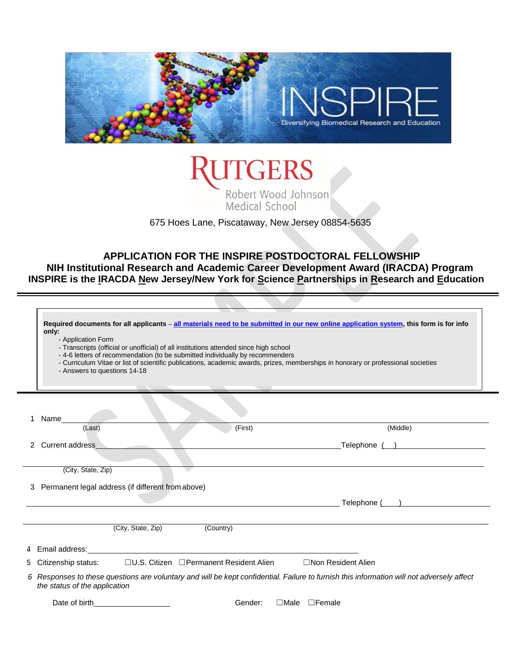



675 Hoes Lane, Piscataway, New Jersey 08854-5635

# **APPLICATION FOR THE INSPIRE POSTDOCTORAL FELLOWSHIP**

**NIH Institutional Research and Academic Career Development Award (IRACDA) Program INSPIRE is the IRACDA New Jersey/New York for Science Partnerships in Research and Education**

|   | Required documents for all applicants - all materials need to be submitted in our new online application system, this form is for info<br>only:<br>- Application Form<br>- Transcripts (official or unofficial) of all institutions attended since high school<br>- 4-6 letters of recommendation (to be submitted individually by recommenders<br>- Curriculum Vitae or list of scientific publications, academic awards, prizes, memberships in honorary or professional societies<br>- Answers to questions 14-18 |                           |
|---|----------------------------------------------------------------------------------------------------------------------------------------------------------------------------------------------------------------------------------------------------------------------------------------------------------------------------------------------------------------------------------------------------------------------------------------------------------------------------------------------------------------------|---------------------------|
|   |                                                                                                                                                                                                                                                                                                                                                                                                                                                                                                                      |                           |
|   | 1 Name                                                                                                                                                                                                                                                                                                                                                                                                                                                                                                               |                           |
|   | (Last)<br>(First)                                                                                                                                                                                                                                                                                                                                                                                                                                                                                                    | (Middle)                  |
|   | 2 Current address                                                                                                                                                                                                                                                                                                                                                                                                                                                                                                    | Telephone ( )             |
|   |                                                                                                                                                                                                                                                                                                                                                                                                                                                                                                                      |                           |
|   | (City, State, Zip)                                                                                                                                                                                                                                                                                                                                                                                                                                                                                                   |                           |
|   | 3 Permanent legal address (if different from above)                                                                                                                                                                                                                                                                                                                                                                                                                                                                  |                           |
|   |                                                                                                                                                                                                                                                                                                                                                                                                                                                                                                                      |                           |
|   |                                                                                                                                                                                                                                                                                                                                                                                                                                                                                                                      | Telephone ( )             |
|   | (City, State, Zip)<br>(Country)                                                                                                                                                                                                                                                                                                                                                                                                                                                                                      |                           |
|   |                                                                                                                                                                                                                                                                                                                                                                                                                                                                                                                      |                           |
| 4 | Email address:                                                                                                                                                                                                                                                                                                                                                                                                                                                                                                       |                           |
| 5 | □U.S. Citizen □ Permanent Resident Alien<br>Citizenship status:                                                                                                                                                                                                                                                                                                                                                                                                                                                      | □Non Resident Alien       |
|   | 6 Responses to these questions are voluntary and will be kept confidential. Failure to furnish this information will not adversely affect<br>the status of the application                                                                                                                                                                                                                                                                                                                                           |                           |
|   | Date of birth<br>Gender:                                                                                                                                                                                                                                                                                                                                                                                                                                                                                             | $\Box$ Male $\Box$ Female |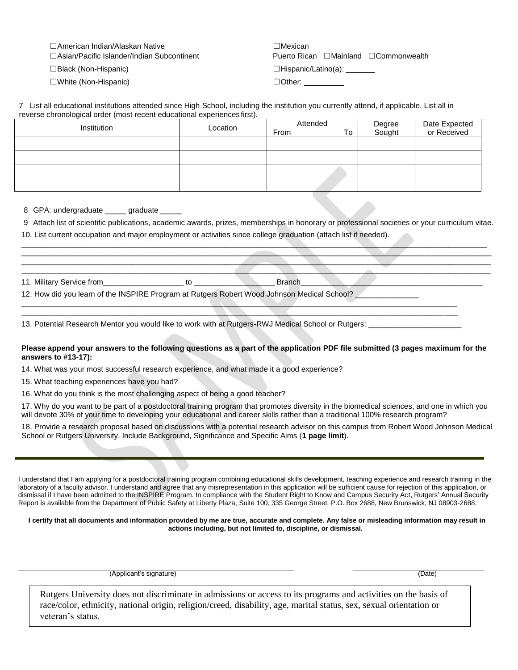☐American Indian/Alaskan Native ☐Mexican

☐White (Non-Hispanic) ☐Other:

☐Asian/Pacific Islander/Indian Subcontinent Puerto Rican ☐Mainland ☐Commonwealth

☐Black (Non-Hispanic) ☐Hispanic/Latino(a):

| 7 List all educational institutions attended since High School, including the institution you currently attend, if applicable. List all in |  |  |  |
|--------------------------------------------------------------------------------------------------------------------------------------------|--|--|--|
| reverse chronological order (most recent educational experiences first).                                                                   |  |  |  |

| Institution | Location | Attended<br>From<br>To | Degree<br>Sought | Date Expected<br>or Received |
|-------------|----------|------------------------|------------------|------------------------------|
|             |          |                        |                  |                              |
|             |          |                        |                  |                              |
|             |          |                        |                  |                              |
|             |          |                        |                  |                              |

8. GPA: undergraduate \_\_\_\_\_ graduate \_\_\_\_\_

9. Attach list of scientific publications, academic awards, prizes, memberships in honorary or professional societies or your curriculum vitae.

 $\_\_\_\_\_\_\_$  $-$  . The contribution of the contribution of the contribution of the contribution of  $\mathcal{A}$ \_\_\_\_\_\_\_\_\_\_\_\_\_\_\_\_\_\_\_\_\_\_\_\_\_\_\_\_\_\_\_\_\_\_\_\_\_\_\_\_\_\_\_\_\_\_\_\_\_\_\_\_\_\_\_\_\_\_\_\_\_\_\_\_\_\_\_\_\_\_\_\_\_\_\_\_\_\_\_\_\_\_\_\_\_\_\_\_\_\_\_\_\_\_\_\_\_\_\_\_\_\_\_\_\_\_\_\_\_\_\_ \_\_\_\_\_\_\_\_\_\_\_\_\_\_\_\_\_\_\_\_\_\_\_\_\_\_\_\_\_\_\_\_\_\_\_\_\_\_\_\_\_\_\_\_\_\_\_\_\_\_\_\_\_\_\_\_\_\_\_\_\_\_\_\_\_\_\_\_\_\_\_\_\_\_\_\_\_\_\_\_\_\_\_\_\_\_\_\_\_\_\_\_\_\_\_\_\_\_\_\_\_\_\_\_\_\_\_\_\_\_\_

10. List current occupation and major employment or activities since college graduation (attach list if needed).

| Military<br>. .<br>∈Service from |  | $1 - 1 - 1$<br>Brancı |  |
|----------------------------------|--|-----------------------|--|
|----------------------------------|--|-----------------------|--|

12. How did you learn of the INSPIRE Program at Rutgers Robert Wood Johnson Medical School?

13. Potential Research Mentor you would like to work with at Rutgers-RWJ Medical School or Rutgers: \_\_\_\_\_\_\_\_\_\_

### **Please append your answers to the following questions as a part of the application PDF file submitted (3 pages maximum for the answers to #13-17):**

\_\_\_\_\_\_\_\_\_\_\_\_\_\_\_\_\_\_\_\_\_\_\_\_\_\_\_\_\_\_\_\_\_\_\_\_\_\_\_\_\_\_\_\_\_\_\_\_\_\_\_\_\_\_\_\_\_\_\_\_\_\_\_\_\_\_\_\_\_\_\_\_\_\_\_\_\_\_\_\_\_\_\_\_\_\_\_\_\_\_\_\_\_\_\_\_\_\_\_\_\_\_\_  $\Box$ 

14. What was your most successful research experience, and what made it a good experience?

15. What teaching experiences have you had?

16. What do you think is the most challenging aspect of being a good teacher?

17. Why do you want to be part of a postdoctoral training program that promotes diversity in the biomedical sciences, and one in which you will devote 30% of your time to developing your educational and career skills rather than a traditional 100% research program?

18. Provide a research proposal based on discussions with a potential research advisor on this campus from Robert Wood Johnson Medical School or Rutgers University. Include Background, Significance and Specific Aims (**1 page limit**).

I understand that I am applying for a postdoctoral training program combining educational skills development, teaching experience and research training in the laboratory of a faculty advisor. I understand and agree that any misrepresentation in this application will be sufficient cause for rejection of this application, or dismissal if I have been admitted to the INSPIRE Program. In compliance with the Student Right to Know and Campus Security Act, Rutgers' Annual Security Report is available from the Department of Public Safety at Liberty Plaza, Suite 100, 335 George Street, P.O. Box 2688, New Brunswick, NJ 08903-2688.

#### **I certify that all documents and information provided by me are true, accurate and complete. Any false or misleading information may result in actions including, but not limited to, discipline, or dismissal.**

(Applicant's signature) (Date)

Rutgers University does not discriminate in admissions or access to its programs and activities on the basis of race/color, ethnicity, national origin, religion/creed, disability, age, marital status, sex, sexual orientation or veteran's status.